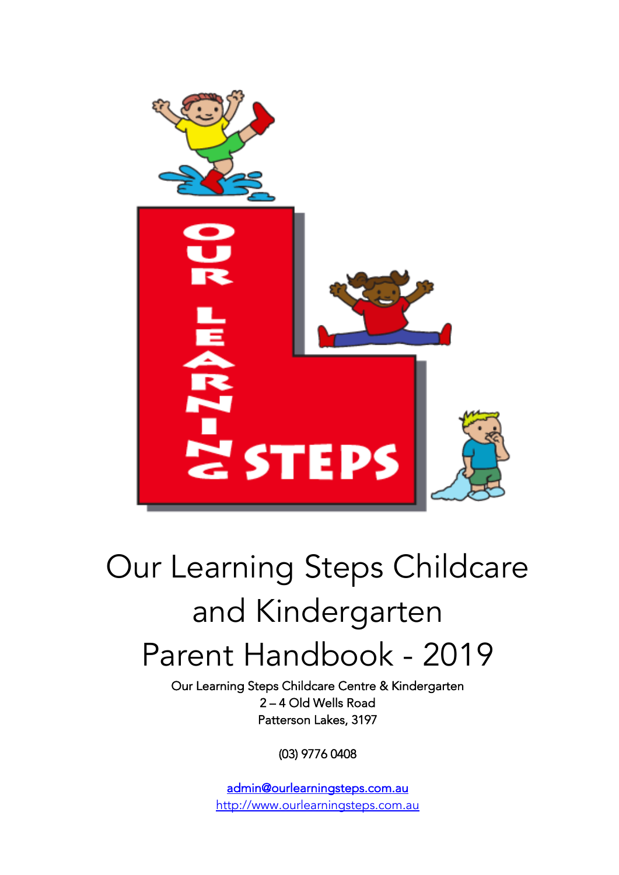

# Our Learning Steps Childcare and Kindergarten Parent Handbook - 2019

Our Learning Steps Childcare Centre & Kindergarten 2 – 4 Old Wells Road Patterson Lakes, 3197

(03) 9776 0408

admin@ourlearningsteps.com.au http://www.ourlearningsteps.com.au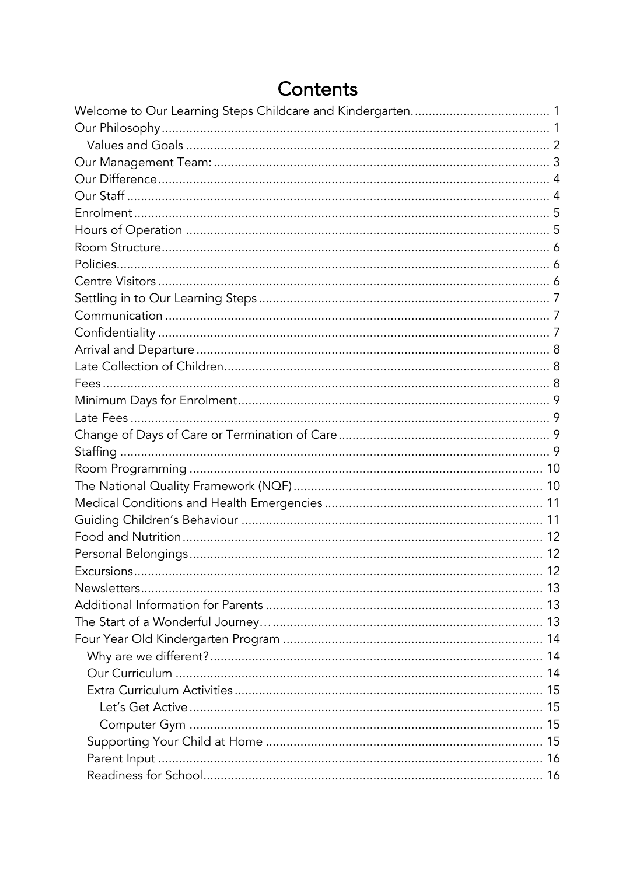# Contents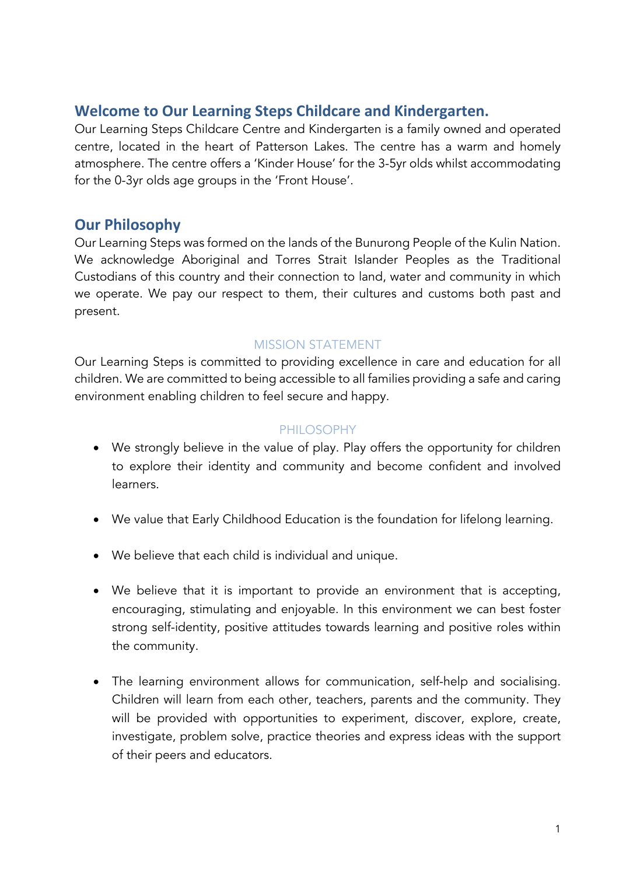# **Welcome to Our Learning Steps Childcare and Kindergarten.**

Our Learning Steps Childcare Centre and Kindergarten is a family owned and operated centre, located in the heart of Patterson Lakes. The centre has a warm and homely atmosphere. The centre offers a 'Kinder House' for the 3-5yr olds whilst accommodating for the 0-3yr olds age groups in the 'Front House'.

# **Our Philosophy**

Our Learning Steps was formed on the lands of the Bunurong People of the Kulin Nation. We acknowledge Aboriginal and Torres Strait Islander Peoples as the Traditional Custodians of this country and their connection to land, water and community in which we operate. We pay our respect to them, their cultures and customs both past and present.

## MISSION STATEMENT

Our Learning Steps is committed to providing excellence in care and education for all children. We are committed to being accessible to all families providing a safe and caring environment enabling children to feel secure and happy.

## PHILOSOPHY

- We strongly believe in the value of play. Play offers the opportunity for children to explore their identity and community and become confident and involved learners.
- We value that Early Childhood Education is the foundation for lifelong learning.
- We believe that each child is individual and unique.
- We believe that it is important to provide an environment that is accepting, encouraging, stimulating and enjoyable. In this environment we can best foster strong self-identity, positive attitudes towards learning and positive roles within the community.
- The learning environment allows for communication, self-help and socialising. Children will learn from each other, teachers, parents and the community. They will be provided with opportunities to experiment, discover, explore, create, investigate, problem solve, practice theories and express ideas with the support of their peers and educators.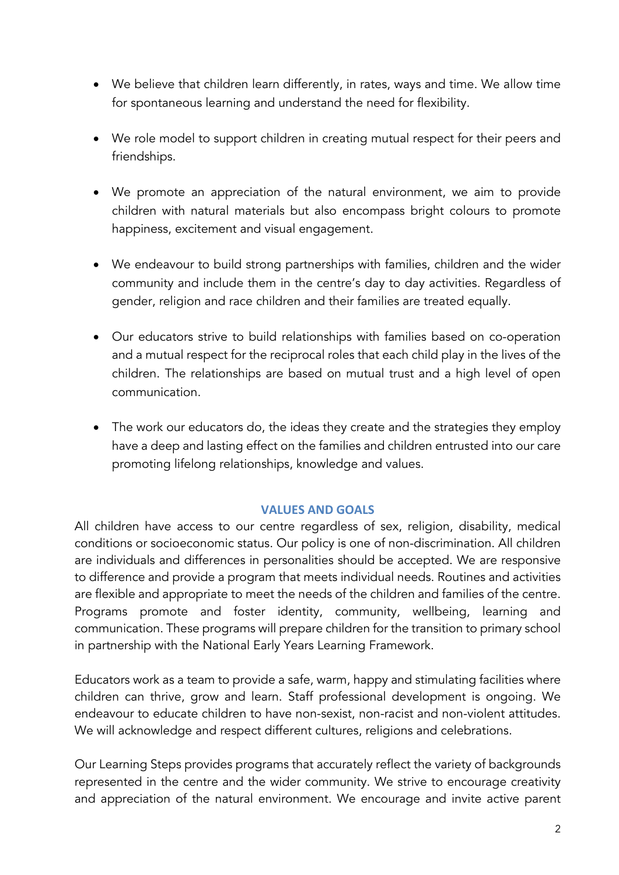- We believe that children learn differently, in rates, ways and time. We allow time for spontaneous learning and understand the need for flexibility.
- We role model to support children in creating mutual respect for their peers and friendships.
- We promote an appreciation of the natural environment, we aim to provide children with natural materials but also encompass bright colours to promote happiness, excitement and visual engagement.
- We endeavour to build strong partnerships with families, children and the wider community and include them in the centre's day to day activities. Regardless of gender, religion and race children and their families are treated equally.
- Our educators strive to build relationships with families based on co-operation and a mutual respect for the reciprocal roles that each child play in the lives of the children. The relationships are based on mutual trust and a high level of open communication.
- The work our educators do, the ideas they create and the strategies they employ have a deep and lasting effect on the families and children entrusted into our care promoting lifelong relationships, knowledge and values.

## **VALUES AND GOALS**

All children have access to our centre regardless of sex, religion, disability, medical conditions or socioeconomic status. Our policy is one of non-discrimination. All children are individuals and differences in personalities should be accepted. We are responsive to difference and provide a program that meets individual needs. Routines and activities are flexible and appropriate to meet the needs of the children and families of the centre. Programs promote and foster identity, community, wellbeing, learning and communication. These programs will prepare children for the transition to primary school in partnership with the National Early Years Learning Framework.

Educators work as a team to provide a safe, warm, happy and stimulating facilities where children can thrive, grow and learn. Staff professional development is ongoing. We endeavour to educate children to have non-sexist, non-racist and non-violent attitudes. We will acknowledge and respect different cultures, religions and celebrations.

Our Learning Steps provides programs that accurately reflect the variety of backgrounds represented in the centre and the wider community. We strive to encourage creativity and appreciation of the natural environment. We encourage and invite active parent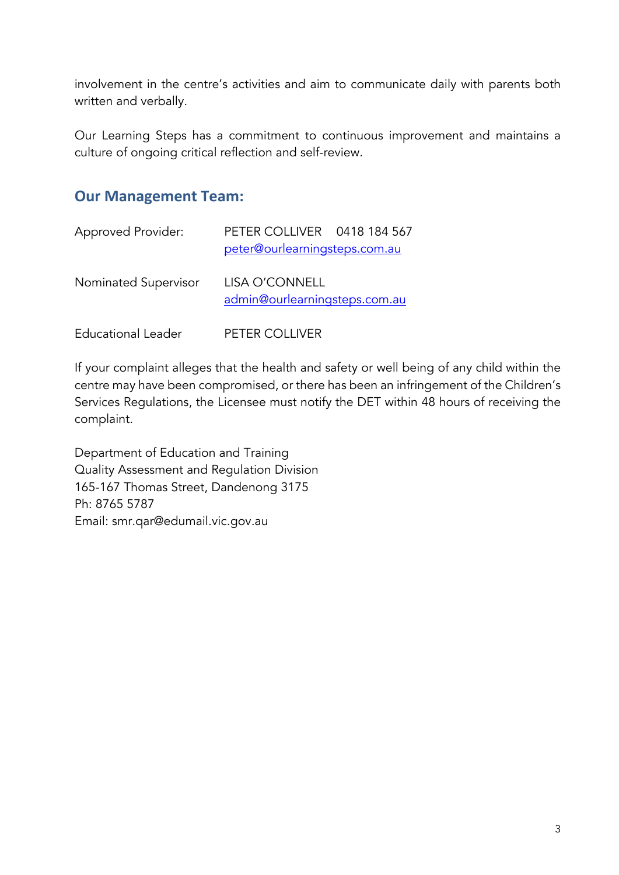involvement in the centre's activities and aim to communicate daily with parents both written and verbally.

Our Learning Steps has a commitment to continuous improvement and maintains a culture of ongoing critical reflection and self-review.

# **Our Management Team:**

| <b>Approved Provider:</b> | PETER COLLIVER 0418 184 567<br>peter@ourlearningsteps.com.au |
|---------------------------|--------------------------------------------------------------|
| Nominated Supervisor      | LISA O'CONNELL<br>admin@ourlearningsteps.com.au              |
| <b>Educational Leader</b> | PETER COLLIVER                                               |

If your complaint alleges that the health and safety or well being of any child within the centre may have been compromised, or there has been an infringement of the Children's Services Regulations, the Licensee must notify the DET within 48 hours of receiving the complaint.

Department of Education and Training Quality Assessment and Regulation Division 165-167 Thomas Street, Dandenong 3175 Ph: 8765 5787 Email: smr.qar@edumail.vic.gov.au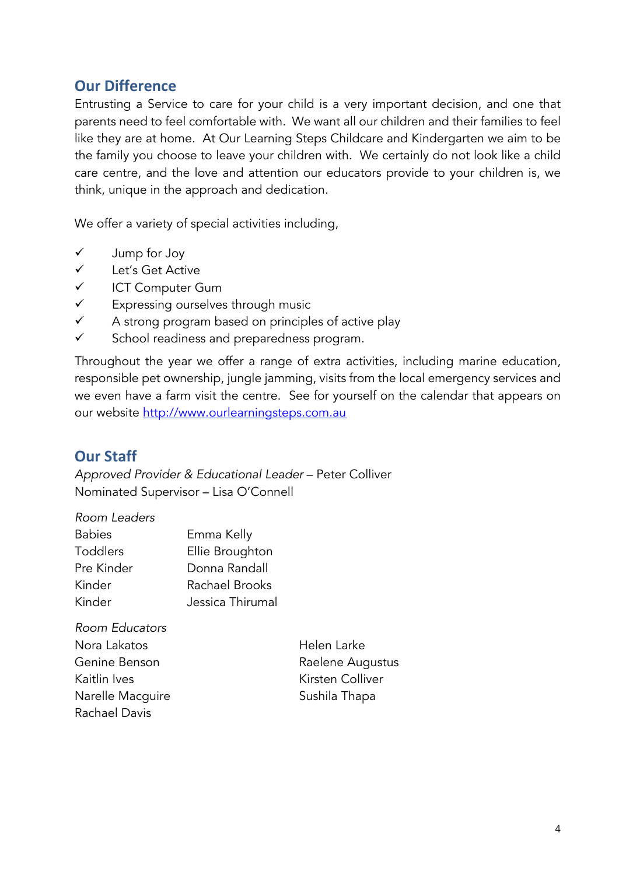# **Our Difference**

Entrusting a Service to care for your child is a very important decision, and one that parents need to feel comfortable with. We want all our children and their families to feel like they are at home. At Our Learning Steps Childcare and Kindergarten we aim to be the family you choose to leave your children with. We certainly do not look like a child care centre, and the love and attention our educators provide to your children is, we think, unique in the approach and dedication.

We offer a variety of special activities including,

- $\checkmark$  Jump for Joy
- $\checkmark$  Let's Get Active
- $\checkmark$  ICT Computer Gum
- $\checkmark$  Expressing ourselves through music
- $\checkmark$  A strong program based on principles of active play
- $\checkmark$  School readiness and preparedness program.

Throughout the year we offer a range of extra activities, including marine education, responsible pet ownership, jungle jamming, visits from the local emergency services and we even have a farm visit the centre. See for yourself on the calendar that appears on our website http://www.ourlearningsteps.com.au

# **Our Staff**

*Approved Provider & Educational Leader* – Peter Colliver Nominated Supervisor – Lisa O'Connell

*Room Leaders*

| <b>Babies</b>   | Emma Kelly       |
|-----------------|------------------|
| <b>Toddlers</b> | Ellie Broughton  |
| Pre Kinder      | Donna Randall    |
| Kinder          | Rachael Brooks   |
| Kinder          | Jessica Thirumal |
|                 |                  |

*Room Educators* Nora Lakatos Helen Larke Genine Benson **Raelene** Augustus Kaitlin Ives **Kirsten Colliver** Narelle Macguire **Sushila Thapa** Rachael Davis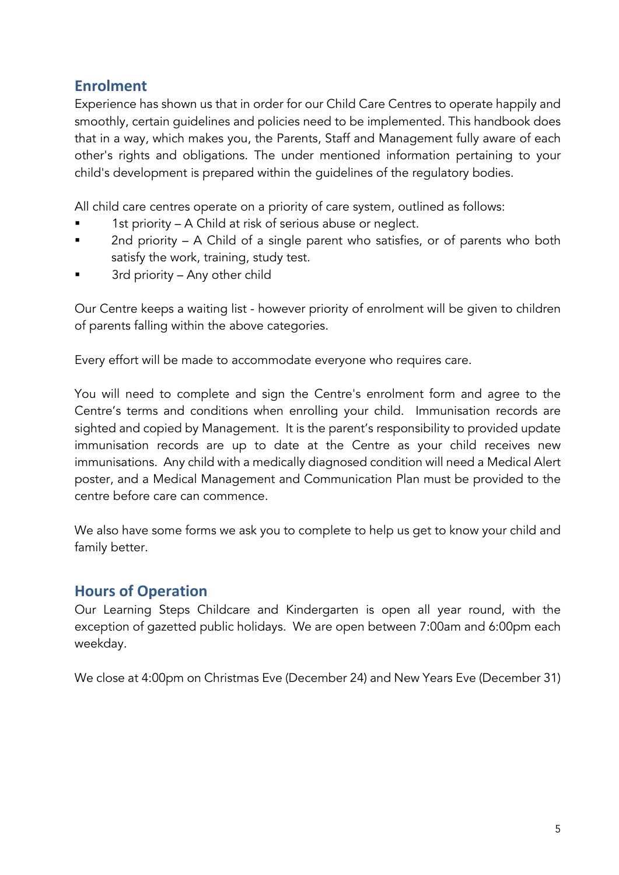# **Enrolment**

Experience has shown us that in order for our Child Care Centres to operate happily and smoothly, certain guidelines and policies need to be implemented. This handbook does that in a way, which makes you, the Parents, Staff and Management fully aware of each other's rights and obligations. The under mentioned information pertaining to your child's development is prepared within the guidelines of the regulatory bodies.

All child care centres operate on a priority of care system, outlined as follows:

- 1st priority A Child at risk of serious abuse or neglect.
- § 2nd priority A Child of a single parent who satisfies, or of parents who both satisfy the work, training, study test.
- § 3rd priority Any other child

Our Centre keeps a waiting list - however priority of enrolment will be given to children of parents falling within the above categories.

Every effort will be made to accommodate everyone who requires care.

You will need to complete and sign the Centre's enrolment form and agree to the Centre's terms and conditions when enrolling your child. Immunisation records are sighted and copied by Management. It is the parent's responsibility to provided update immunisation records are up to date at the Centre as your child receives new immunisations. Any child with a medically diagnosed condition will need a Medical Alert poster, and a Medical Management and Communication Plan must be provided to the centre before care can commence.

We also have some forms we ask you to complete to help us get to know your child and family better.

# **Hours of Operation**

Our Learning Steps Childcare and Kindergarten is open all year round, with the exception of gazetted public holidays. We are open between 7:00am and 6:00pm each weekday.

We close at 4:00pm on Christmas Eve (December 24) and New Years Eve (December 31)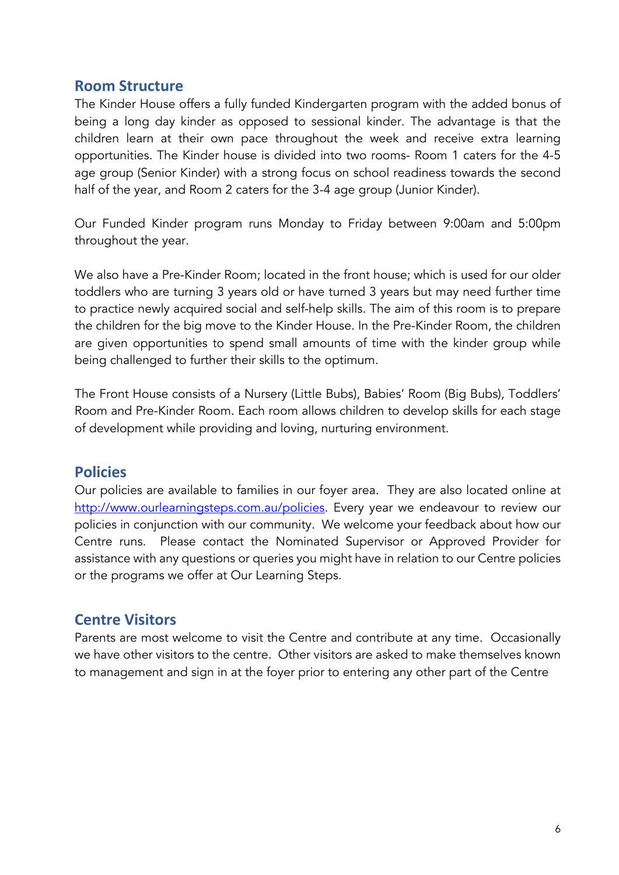# **Room Structure**

The Kinder House offers a fully funded Kindergarten program with the added bonus of being a long day kinder as opposed to sessional kinder. The advantage is that the children learn at their own pace throughout the week and receive extra learning opportunities. The Kinder house is divided into two rooms- Room 1 caters for the 4-5 age group (Senior Kinder) with a strong focus on school readiness towards the second half of the year, and Room 2 caters for the 3-4 age group (Junior Kinder).

Our Funded Kinder program runs Monday to Friday between 9:00am and 5:00pm throughout the year.

We also have a Pre-Kinder Room; located in the front house; which is used for our older toddlers who are turning 3 years old or have turned 3 years but may need further time to practice newly acquired social and self-help skills. The aim of this room is to prepare the children for the big move to the Kinder House. In the Pre-Kinder Room, the children are given opportunities to spend small amounts of time with the kinder group while being challenged to further their skills to the optimum.

The Front House consists of a Nursery (Little Bubs), Babies' Room (Big Bubs), Toddlers' Room and Pre-Kinder Room. Each room allows children to develop skills for each stage of development while providing and loving, nurturing environment.

# **Policies**

Our policies are available to families in our foyer area. They are also located online at http://www.ourlearningsteps.com.au/policies. Every year we endeavour to review our policies in conjunction with our community. We welcome your feedback about how our Centre runs. Please contact the Nominated Supervisor or Approved Provider for assistance with any questions or queries you might have in relation to our Centre policies or the programs we offer at Our Learning Steps.

# **Centre Visitors**

Parents are most welcome to visit the Centre and contribute at any time. Occasionally we have other visitors to the centre. Other visitors are asked to make themselves known to management and sign in at the foyer prior to entering any other part of the Centre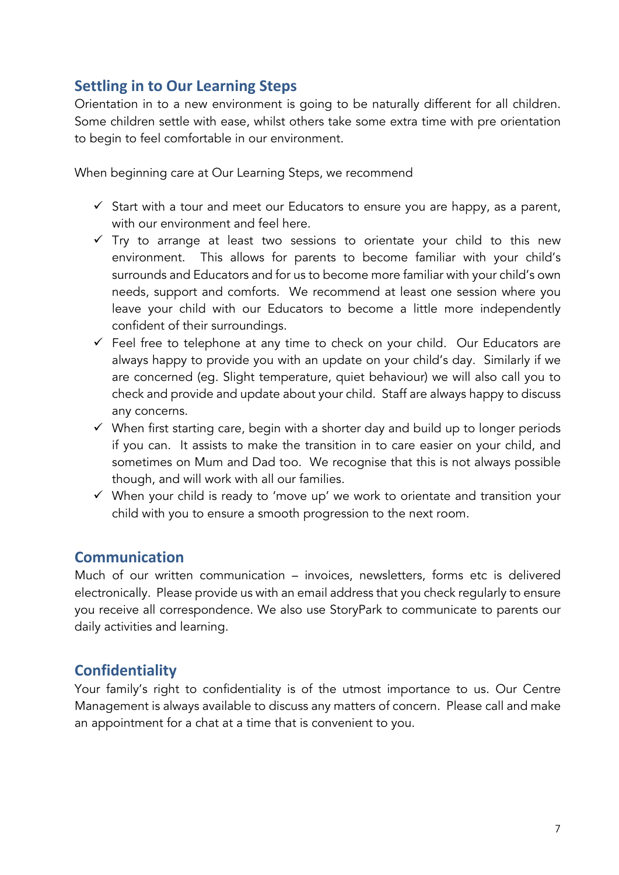# **Settling in to Our Learning Steps**

Orientation in to a new environment is going to be naturally different for all children. Some children settle with ease, whilst others take some extra time with pre orientation to begin to feel comfortable in our environment.

When beginning care at Our Learning Steps, we recommend

- $\checkmark$  Start with a tour and meet our Educators to ensure you are happy, as a parent, with our environment and feel here.
- $\checkmark$  Try to arrange at least two sessions to orientate your child to this new environment. This allows for parents to become familiar with your child's surrounds and Educators and for us to become more familiar with your child's own needs, support and comforts. We recommend at least one session where you leave your child with our Educators to become a little more independently confident of their surroundings.
- $\checkmark$  Feel free to telephone at any time to check on your child. Our Educators are always happy to provide you with an update on your child's day. Similarly if we are concerned (eg. Slight temperature, quiet behaviour) we will also call you to check and provide and update about your child. Staff are always happy to discuss any concerns.
- $\checkmark$  When first starting care, begin with a shorter day and build up to longer periods if you can. It assists to make the transition in to care easier on your child, and sometimes on Mum and Dad too. We recognise that this is not always possible though, and will work with all our families.
- $\checkmark$  When your child is ready to 'move up' we work to orientate and transition your child with you to ensure a smooth progression to the next room.

# **Communication**

Much of our written communication – invoices, newsletters, forms etc is delivered electronically. Please provide us with an email address that you check regularly to ensure you receive all correspondence. We also use StoryPark to communicate to parents our daily activities and learning.

# **Confidentiality**

Your family's right to confidentiality is of the utmost importance to us. Our Centre Management is always available to discuss any matters of concern. Please call and make an appointment for a chat at a time that is convenient to you.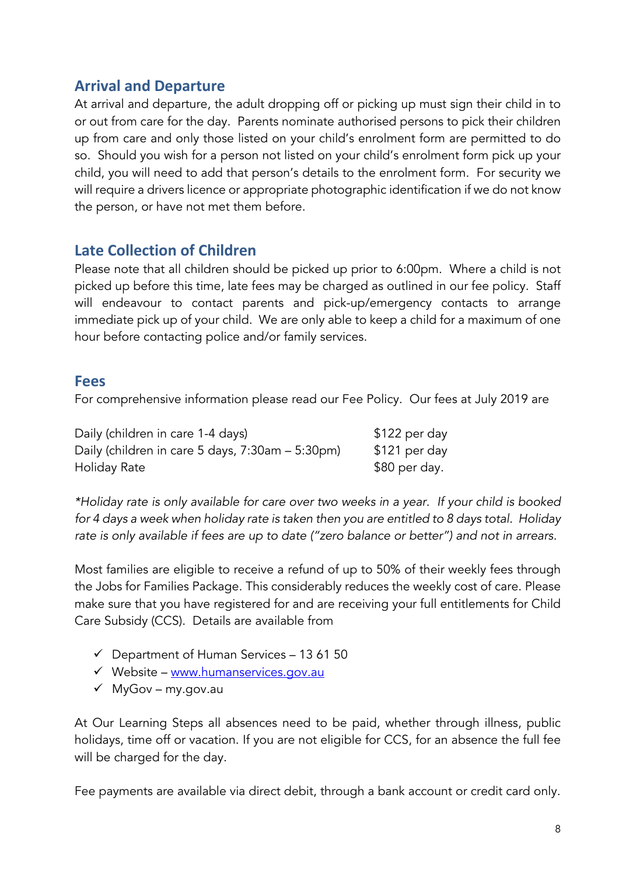# **Arrival and Departure**

At arrival and departure, the adult dropping off or picking up must sign their child in to or out from care for the day. Parents nominate authorised persons to pick their children up from care and only those listed on your child's enrolment form are permitted to do so. Should you wish for a person not listed on your child's enrolment form pick up your child, you will need to add that person's details to the enrolment form. For security we will require a drivers licence or appropriate photographic identification if we do not know the person, or have not met them before.

# **Late Collection of Children**

Please note that all children should be picked up prior to 6:00pm. Where a child is not picked up before this time, late fees may be charged as outlined in our fee policy. Staff will endeavour to contact parents and pick-up/emergency contacts to arrange immediate pick up of your child. We are only able to keep a child for a maximum of one hour before contacting police and/or family services.

# **Fees**

For comprehensive information please read our Fee Policy. Our fees at July 2019 are

Daily (children in care 1-4 days)  $$122$  per day Daily (children in care 5 days, 7:30am – 5:30pm) \$121 per day Holiday Rate **\$80 per day.** 

*\*Holiday rate is only available for care over two weeks in a year. If your child is booked for 4 days a week when holiday rate is taken then you are entitled to 8 days total. Holiday rate is only available if fees are up to date ("zero balance or better") and not in arrears.*

Most families are eligible to receive a refund of up to 50% of their weekly fees through the Jobs for Families Package. This considerably reduces the weekly cost of care. Please make sure that you have registered for and are receiving your full entitlements for Child Care Subsidy (CCS). Details are available from

- $\checkmark$  Department of Human Services 13 61 50
- $\checkmark$  Website www.humanservices.gov.au
- $\checkmark$  MyGov my.gov.au

At Our Learning Steps all absences need to be paid, whether through illness, public holidays, time off or vacation. If you are not eligible for CCS, for an absence the full fee will be charged for the day.

Fee payments are available via direct debit, through a bank account or credit card only.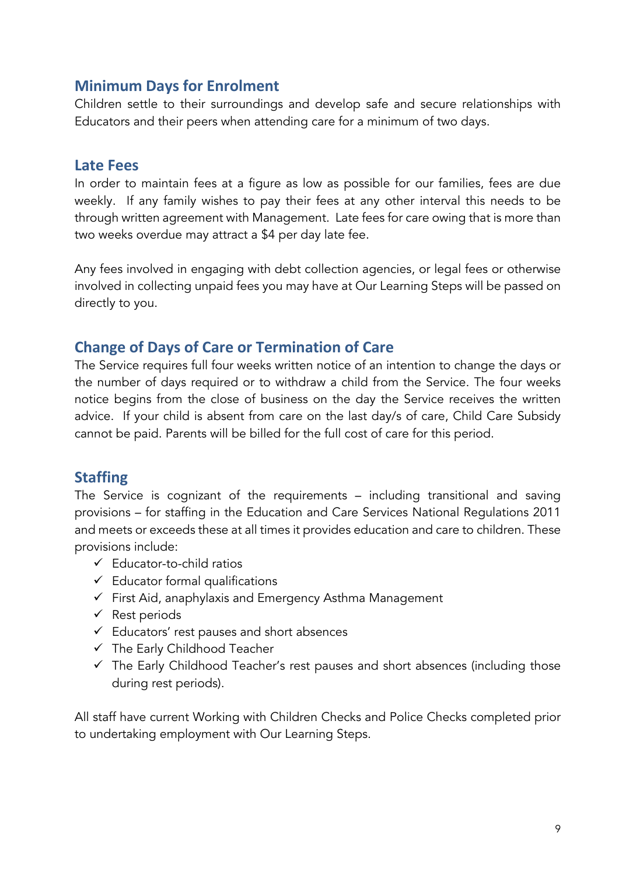# **Minimum Days for Enrolment**

Children settle to their surroundings and develop safe and secure relationships with Educators and their peers when attending care for a minimum of two days.

# **Late Fees**

In order to maintain fees at a figure as low as possible for our families, fees are due weekly. If any family wishes to pay their fees at any other interval this needs to be through written agreement with Management. Late fees for care owing that is more than two weeks overdue may attract a \$4 per day late fee.

Any fees involved in engaging with debt collection agencies, or legal fees or otherwise involved in collecting unpaid fees you may have at Our Learning Steps will be passed on directly to you.

# **Change of Days of Care or Termination of Care**

The Service requires full four weeks written notice of an intention to change the days or the number of days required or to withdraw a child from the Service. The four weeks notice begins from the close of business on the day the Service receives the written advice. If your child is absent from care on the last day/s of care, Child Care Subsidy cannot be paid. Parents will be billed for the full cost of care for this period.

# **Staffing**

The Service is cognizant of the requirements – including transitional and saving provisions – for staffing in the Education and Care Services National Regulations 2011 and meets or exceeds these at all times it provides education and care to children. These provisions include:

- $\checkmark$  Educator-to-child ratios
- $\checkmark$  Educator formal qualifications
- $\checkmark$  First Aid, anaphylaxis and Emergency Asthma Management
- $\checkmark$  Rest periods
- $\checkmark$  Educators' rest pauses and short absences
- $\checkmark$  The Early Childhood Teacher
- $\checkmark$  The Early Childhood Teacher's rest pauses and short absences (including those during rest periods).

All staff have current Working with Children Checks and Police Checks completed prior to undertaking employment with Our Learning Steps.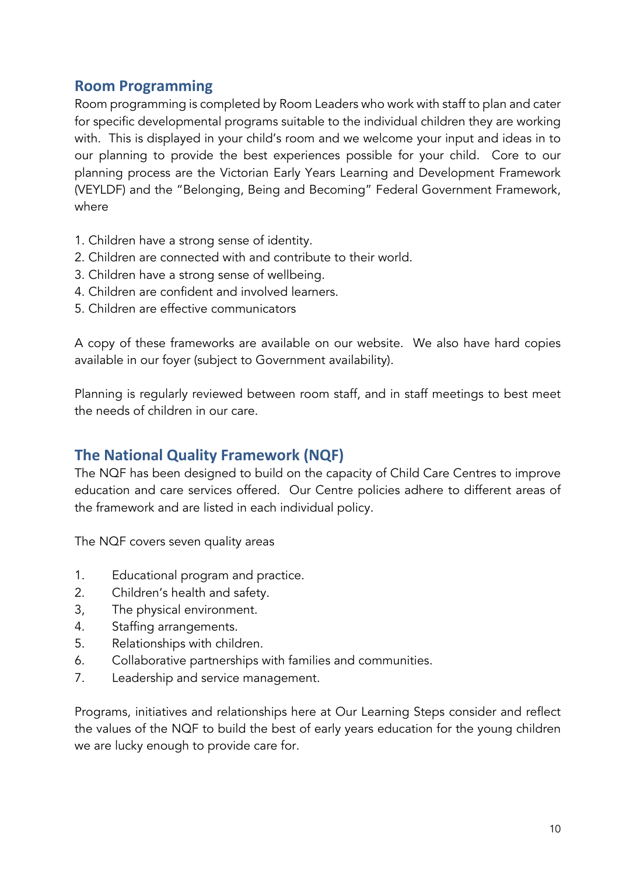# **Room Programming**

Room programming is completed by Room Leaders who work with staff to plan and cater for specific developmental programs suitable to the individual children they are working with. This is displayed in your child's room and we welcome your input and ideas in to our planning to provide the best experiences possible for your child. Core to our planning process are the Victorian Early Years Learning and Development Framework (VEYLDF) and the "Belonging, Being and Becoming" Federal Government Framework, where

- 1. Children have a strong sense of identity.
- 2. Children are connected with and contribute to their world.
- 3. Children have a strong sense of wellbeing.
- 4. Children are confident and involved learners.
- 5. Children are effective communicators

A copy of these frameworks are available on our website. We also have hard copies available in our foyer (subject to Government availability).

Planning is regularly reviewed between room staff, and in staff meetings to best meet the needs of children in our care.

# **The National Quality Framework (NQF)**

The NQF has been designed to build on the capacity of Child Care Centres to improve education and care services offered. Our Centre policies adhere to different areas of the framework and are listed in each individual policy.

The NQF covers seven quality areas

- 1. Educational program and practice.
- 2. Children's health and safety.
- 3, The physical environment.
- 4. Staffing arrangements.
- 5. Relationships with children.
- 6. Collaborative partnerships with families and communities.
- 7. Leadership and service management.

Programs, initiatives and relationships here at Our Learning Steps consider and reflect the values of the NQF to build the best of early years education for the young children we are lucky enough to provide care for.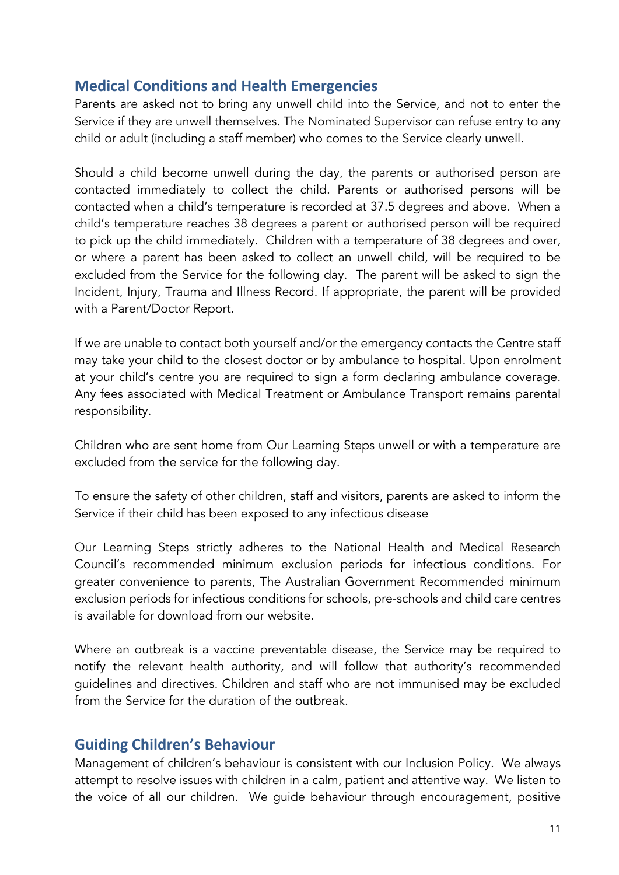# **Medical Conditions and Health Emergencies**

Parents are asked not to bring any unwell child into the Service, and not to enter the Service if they are unwell themselves. The Nominated Supervisor can refuse entry to any child or adult (including a staff member) who comes to the Service clearly unwell.

Should a child become unwell during the day, the parents or authorised person are contacted immediately to collect the child. Parents or authorised persons will be contacted when a child's temperature is recorded at 37.5 degrees and above. When a child's temperature reaches 38 degrees a parent or authorised person will be required to pick up the child immediately. Children with a temperature of 38 degrees and over, or where a parent has been asked to collect an unwell child, will be required to be excluded from the Service for the following day. The parent will be asked to sign the Incident, Injury, Trauma and Illness Record. If appropriate, the parent will be provided with a Parent/Doctor Report.

If we are unable to contact both yourself and/or the emergency contacts the Centre staff may take your child to the closest doctor or by ambulance to hospital. Upon enrolment at your child's centre you are required to sign a form declaring ambulance coverage. Any fees associated with Medical Treatment or Ambulance Transport remains parental responsibility.

Children who are sent home from Our Learning Steps unwell or with a temperature are excluded from the service for the following day.

To ensure the safety of other children, staff and visitors, parents are asked to inform the Service if their child has been exposed to any infectious disease

Our Learning Steps strictly adheres to the National Health and Medical Research Council's recommended minimum exclusion periods for infectious conditions. For greater convenience to parents, The Australian Government Recommended minimum exclusion periods for infectious conditions for schools, pre-schools and child care centres is available for download from our website.

Where an outbreak is a vaccine preventable disease, the Service may be required to notify the relevant health authority, and will follow that authority's recommended guidelines and directives. Children and staff who are not immunised may be excluded from the Service for the duration of the outbreak.

# **Guiding Children's Behaviour**

Management of children's behaviour is consistent with our Inclusion Policy. We always attempt to resolve issues with children in a calm, patient and attentive way. We listen to the voice of all our children. We guide behaviour through encouragement, positive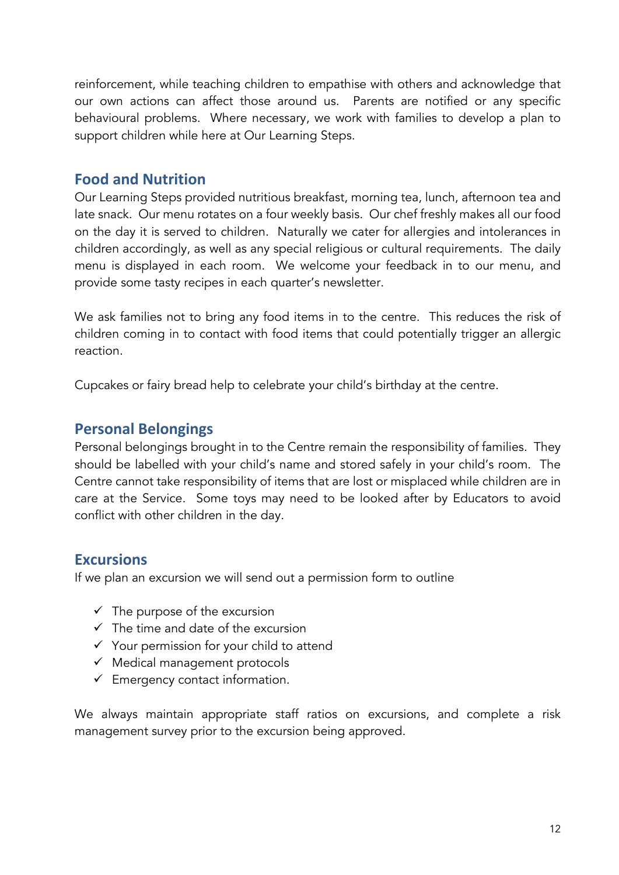reinforcement, while teaching children to empathise with others and acknowledge that our own actions can affect those around us. Parents are notified or any specific behavioural problems. Where necessary, we work with families to develop a plan to support children while here at Our Learning Steps.

# **Food and Nutrition**

Our Learning Steps provided nutritious breakfast, morning tea, lunch, afternoon tea and late snack. Our menu rotates on a four weekly basis. Our chef freshly makes all our food on the day it is served to children. Naturally we cater for allergies and intolerances in children accordingly, as well as any special religious or cultural requirements. The daily menu is displayed in each room. We welcome your feedback in to our menu, and provide some tasty recipes in each quarter's newsletter.

We ask families not to bring any food items in to the centre. This reduces the risk of children coming in to contact with food items that could potentially trigger an allergic reaction.

Cupcakes or fairy bread help to celebrate your child's birthday at the centre.

# **Personal Belongings**

Personal belongings brought in to the Centre remain the responsibility of families. They should be labelled with your child's name and stored safely in your child's room. The Centre cannot take responsibility of items that are lost or misplaced while children are in care at the Service. Some toys may need to be looked after by Educators to avoid conflict with other children in the day.

# **Excursions**

If we plan an excursion we will send out a permission form to outline

- $\checkmark$  The purpose of the excursion
- $\checkmark$  The time and date of the excursion
- $\checkmark$  Your permission for your child to attend
- $\checkmark$  Medical management protocols
- $\checkmark$  Emergency contact information.

We always maintain appropriate staff ratios on excursions, and complete a risk management survey prior to the excursion being approved.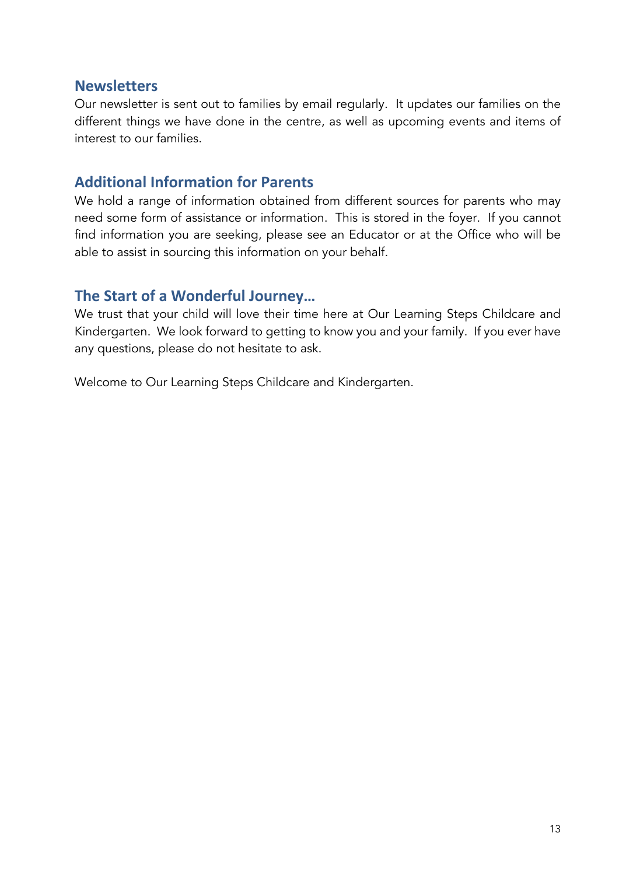# **Newsletters**

Our newsletter is sent out to families by email regularly. It updates our families on the different things we have done in the centre, as well as upcoming events and items of interest to our families.

# **Additional Information for Parents**

We hold a range of information obtained from different sources for parents who may need some form of assistance or information. This is stored in the foyer. If you cannot find information you are seeking, please see an Educator or at the Office who will be able to assist in sourcing this information on your behalf.

# **The Start of a Wonderful Journey…**

We trust that your child will love their time here at Our Learning Steps Childcare and Kindergarten. We look forward to getting to know you and your family. If you ever have any questions, please do not hesitate to ask.

Welcome to Our Learning Steps Childcare and Kindergarten.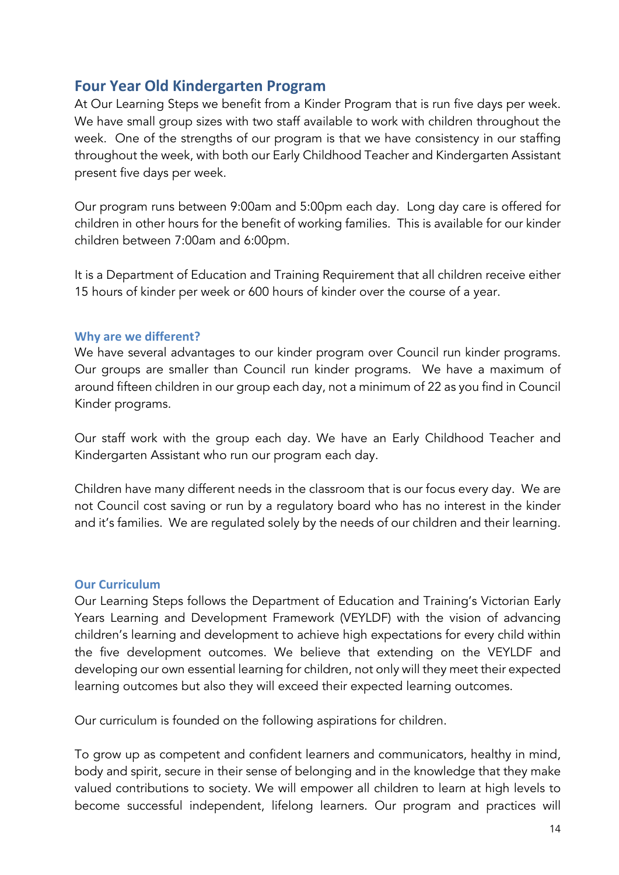# **Four Year Old Kindergarten Program**

At Our Learning Steps we benefit from a Kinder Program that is run five days per week. We have small group sizes with two staff available to work with children throughout the week. One of the strengths of our program is that we have consistency in our staffing throughout the week, with both our Early Childhood Teacher and Kindergarten Assistant present five days per week.

Our program runs between 9:00am and 5:00pm each day. Long day care is offered for children in other hours for the benefit of working families. This is available for our kinder children between 7:00am and 6:00pm.

It is a Department of Education and Training Requirement that all children receive either 15 hours of kinder per week or 600 hours of kinder over the course of a year.

## **Why are we different?**

We have several advantages to our kinder program over Council run kinder programs. Our groups are smaller than Council run kinder programs. We have a maximum of around fifteen children in our group each day, not a minimum of 22 as you find in Council Kinder programs.

Our staff work with the group each day. We have an Early Childhood Teacher and Kindergarten Assistant who run our program each day.

Children have many different needs in the classroom that is our focus every day. We are not Council cost saving or run by a regulatory board who has no interest in the kinder and it's families. We are regulated solely by the needs of our children and their learning.

## **Our Curriculum**

Our Learning Steps follows the Department of Education and Training's Victorian Early Years Learning and Development Framework (VEYLDF) with the vision of advancing children's learning and development to achieve high expectations for every child within the five development outcomes. We believe that extending on the VEYLDF and developing our own essential learning for children, not only will they meet their expected learning outcomes but also they will exceed their expected learning outcomes.

Our curriculum is founded on the following aspirations for children.

To grow up as competent and confident learners and communicators, healthy in mind, body and spirit, secure in their sense of belonging and in the knowledge that they make valued contributions to society. We will empower all children to learn at high levels to become successful independent, lifelong learners. Our program and practices will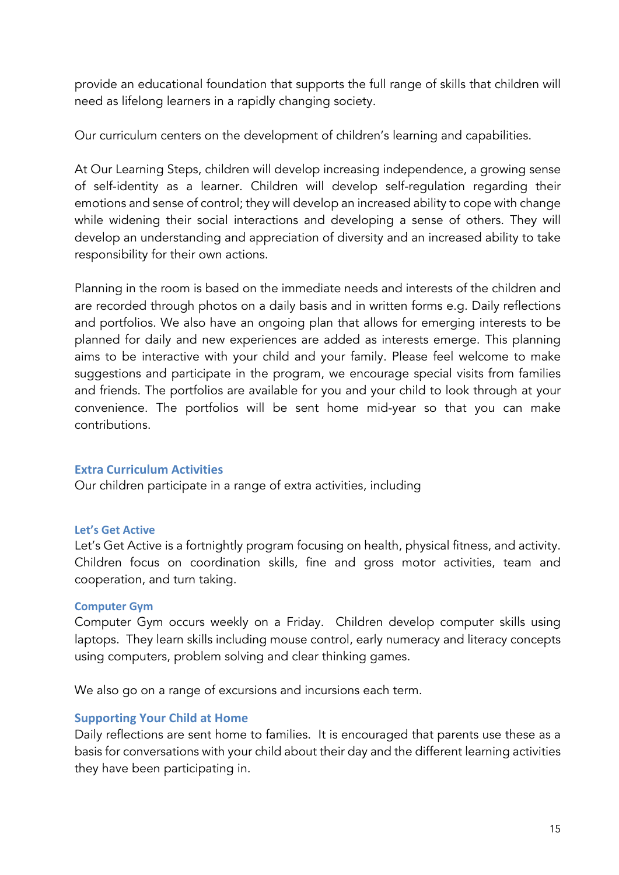provide an educational foundation that supports the full range of skills that children will need as lifelong learners in a rapidly changing society.

Our curriculum centers on the development of children's learning and capabilities.

At Our Learning Steps, children will develop increasing independence, a growing sense of self-identity as a learner. Children will develop self-regulation regarding their emotions and sense of control; they will develop an increased ability to cope with change while widening their social interactions and developing a sense of others. They will develop an understanding and appreciation of diversity and an increased ability to take responsibility for their own actions.

Planning in the room is based on the immediate needs and interests of the children and are recorded through photos on a daily basis and in written forms e.g. Daily reflections and portfolios. We also have an ongoing plan that allows for emerging interests to be planned for daily and new experiences are added as interests emerge. This planning aims to be interactive with your child and your family. Please feel welcome to make suggestions and participate in the program, we encourage special visits from families and friends. The portfolios are available for you and your child to look through at your convenience. The portfolios will be sent home mid-year so that you can make contributions.

## **Extra Curriculum Activities**

Our children participate in a range of extra activities, including

## **Let's Get Active**

Let's Get Active is a fortnightly program focusing on health, physical fitness, and activity. Children focus on coordination skills, fine and gross motor activities, team and cooperation, and turn taking.

## **Computer Gym**

Computer Gym occurs weekly on a Friday. Children develop computer skills using laptops. They learn skills including mouse control, early numeracy and literacy concepts using computers, problem solving and clear thinking games.

We also go on a range of excursions and incursions each term.

## **Supporting Your Child at Home**

Daily reflections are sent home to families. It is encouraged that parents use these as a basis for conversations with your child about their day and the different learning activities they have been participating in.